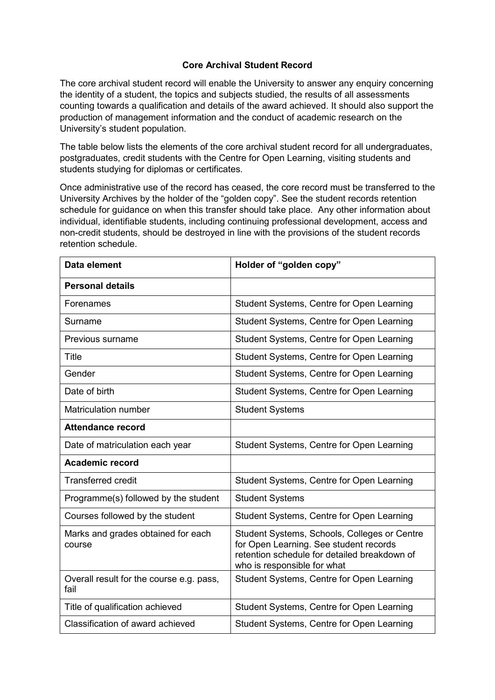## **Core Archival Student Record**

The core archival student record will enable the University to answer any enquiry concerning the identity of a student, the topics and subjects studied, the results of all assessments counting towards a qualification and details of the award achieved. It should also support the production of management information and the conduct of academic research on the University's student population.

The table below lists the elements of the core archival student record for all undergraduates, postgraduates, credit students with the Centre for Open Learning, visiting students and students studying for diplomas or certificates.

Once administrative use of the record has ceased, the core record must be transferred to the University Archives by the holder of the "golden copy". See the student records retention schedule for guidance on when this transfer should take place. Any other information about individual, identifiable students, including continuing professional development, access and non-credit students, should be destroyed in line with the provisions of the student records retention schedule.

| Data element                                     | Holder of "golden copy"                                                                                                                                               |
|--------------------------------------------------|-----------------------------------------------------------------------------------------------------------------------------------------------------------------------|
| <b>Personal details</b>                          |                                                                                                                                                                       |
| Forenames                                        | Student Systems, Centre for Open Learning                                                                                                                             |
| Surname                                          | Student Systems, Centre for Open Learning                                                                                                                             |
| Previous surname                                 | Student Systems, Centre for Open Learning                                                                                                                             |
| <b>Title</b>                                     | Student Systems, Centre for Open Learning                                                                                                                             |
| Gender                                           | Student Systems, Centre for Open Learning                                                                                                                             |
| Date of birth                                    | Student Systems, Centre for Open Learning                                                                                                                             |
| <b>Matriculation number</b>                      | <b>Student Systems</b>                                                                                                                                                |
| <b>Attendance record</b>                         |                                                                                                                                                                       |
| Date of matriculation each year                  | Student Systems, Centre for Open Learning                                                                                                                             |
| <b>Academic record</b>                           |                                                                                                                                                                       |
| <b>Transferred credit</b>                        | Student Systems, Centre for Open Learning                                                                                                                             |
| Programme(s) followed by the student             | <b>Student Systems</b>                                                                                                                                                |
| Courses followed by the student                  | Student Systems, Centre for Open Learning                                                                                                                             |
| Marks and grades obtained for each<br>course     | Student Systems, Schools, Colleges or Centre<br>for Open Learning. See student records<br>retention schedule for detailed breakdown of<br>who is responsible for what |
| Overall result for the course e.g. pass,<br>fail | Student Systems, Centre for Open Learning                                                                                                                             |
| Title of qualification achieved                  | Student Systems, Centre for Open Learning                                                                                                                             |
| Classification of award achieved                 | Student Systems, Centre for Open Learning                                                                                                                             |